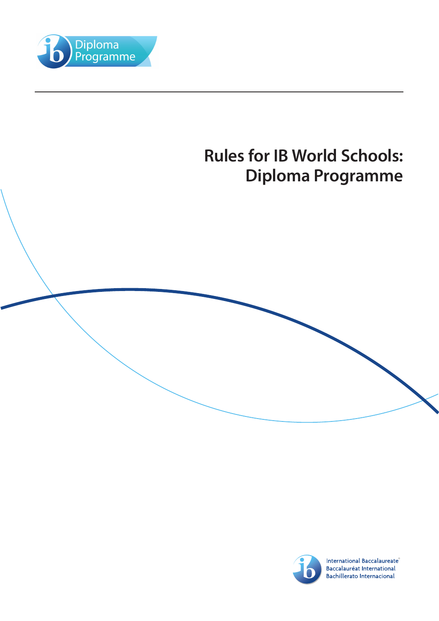





International Baccalaureate<sup>®</sup> Baccalauréat International **Bachillerato Internacional**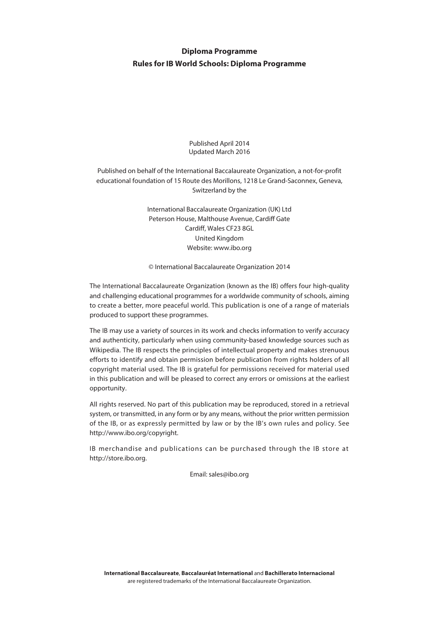# **Diploma Programme Rules for IB World Schools: Diploma Programme**

Published April 2014 Updated March 2016

Published on behalf of the International Baccalaureate Organization, a not-for-profit educational foundation of 15 Route des Morillons, 1218 Le Grand-Saconnex, Geneva, Switzerland by the

> International Baccalaureate Organization (UK) Ltd Peterson House, Malthouse Avenue, Cardiff Gate Cardiff, Wales CF23 8GL United Kingdom Website: www.ibo.org

> © International Baccalaureate Organization 2014

The International Baccalaureate Organization (known as the IB) offers four high-quality and challenging educational programmes for a worldwide community of schools, aiming to create a better, more peaceful world. This publication is one of a range of materials produced to support these programmes.

The IB may use a variety of sources in its work and checks information to verify accuracy and authenticity, particularly when using community-based knowledge sources such as Wikipedia. The IB respects the principles of intellectual property and makes strenuous efforts to identify and obtain permission before publication from rights holders of all copyright material used. The IB is grateful for permissions received for material used in this publication and will be pleased to correct any errors or omissions at the earliest opportunity.

All rights reserved. No part of this publication may be reproduced, stored in a retrieval system, or transmitted, in any form or by any means, without the prior written permission of the IB, or as expressly permitted by law or by the IB's own rules and policy. See http://www.ibo.org/copyright.

IB merchandise and publications can be purchased through the IB store at http://store.ibo.org.

Email: sales@ibo.org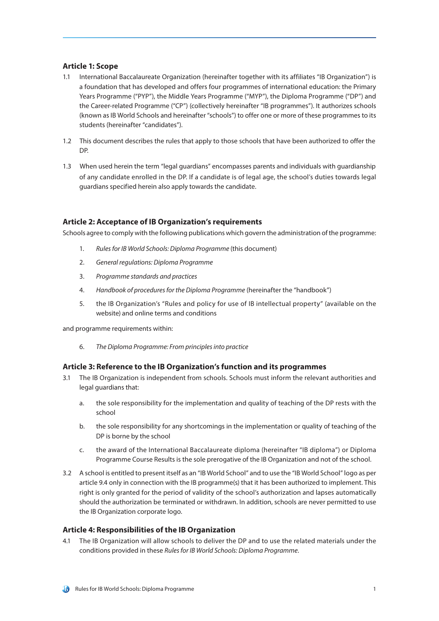# **Article 1: Scope**

- 1.1 International Baccalaureate Organization (hereinafter together with its affiliates "IB Organization") is a foundation that has developed and offers four programmes of international education: the Primary Years Programme ("PYP"), the Middle Years Programme ("MYP"), the Diploma Programme ("DP") and the Career-related Programme ("CP") (collectively hereinafter "IB programmes"). It authorizes schools (known as IB World Schools and hereinafter "schools") to offer one or more of these programmes to its students (hereinafter "candidates").
- 1.2 This document describes the rules that apply to those schools that have been authorized to offer the DP.
- 1.3 When used herein the term "legal guardians" encompasses parents and individuals with guardianship of any candidate enrolled in the DP. If a candidate is of legal age, the school's duties towards legal guardians specified herein also apply towards the candidate.

#### **Article 2: Acceptance of IB Organization's requirements**

Schools agree to comply with the following publications which govern the administration of the programme:

- 1. *Rules for IB World Schools: Diploma Programme* (this document)
- 2. *General regulations: Diploma Programme*
- 3. *Programme standards and practices*
- 4. *Handbook of procedures for the Diploma Programme* (hereinafter the "handbook")
- 5. the IB Organization's "Rules and policy for use of IB intellectual property" (available on the website) and online terms and conditions

and programme requirements within:

6. *The Diploma Programme: From principles into practice*

# **Article 3: Reference to the IB Organization's function and its programmes**

- 3.1 The IB Organization is independent from schools. Schools must inform the relevant authorities and legal guardians that:
	- a. the sole responsibility for the implementation and quality of teaching of the DP rests with the school
	- b. the sole responsibility for any shortcomings in the implementation or quality of teaching of the DP is borne by the school
	- c. the award of the International Baccalaureate diploma (hereinafter "IB diploma") or Diploma Programme Course Results is the sole prerogative of the IB Organization and not of the school.
- 3.2 A school is entitled to present itself as an "IB World School" and to use the "IB World School" logo as per article 9.4 only in connection with the IB programme(s) that it has been authorized to implement. This right is only granted for the period of validity of the school's authorization and lapses automatically should the authorization be terminated or withdrawn. In addition, schools are never permitted to use the IB Organization corporate logo.

#### **Article 4: Responsibilities of the IB Organization**

4.1 The IB Organization will allow schools to deliver the DP and to use the related materials under the conditions provided in these *Rules for IB World Schools: Diploma Programme*.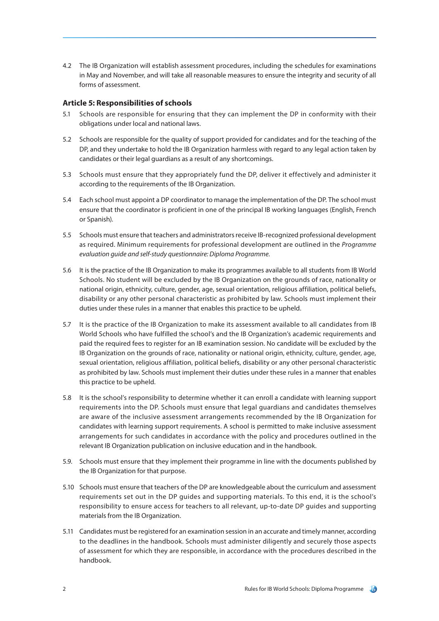4.2 The IB Organization will establish assessment procedures, including the schedules for examinations in May and November, and will take all reasonable measures to ensure the integrity and security of all forms of assessment.

# **Article 5: Responsibilities of schools**

- 5.1 Schools are responsible for ensuring that they can implement the DP in conformity with their obligations under local and national laws.
- 5.2 Schools are responsible for the quality of support provided for candidates and for the teaching of the DP, and they undertake to hold the IB Organization harmless with regard to any legal action taken by candidates or their legal guardians as a result of any shortcomings.
- 5.3 Schools must ensure that they appropriately fund the DP, deliver it effectively and administer it according to the requirements of the IB Organization.
- 5.4 Each school must appoint a DP coordinator to manage the implementation of the DP. The school must ensure that the coordinator is proficient in one of the principal IB working languages (English, French or Spanish).
- 5.5 Schools must ensure that teachers and administrators receive IB-recognized professional development as required. Minimum requirements for professional development are outlined in the *Programme evaluation guide and self-study questionnaire: Diploma Programme.*
- 5.6 It is the practice of the IB Organization to make its programmes available to all students from IB World Schools. No student will be excluded by the IB Organization on the grounds of race, nationality or national origin, ethnicity, culture, gender, age, sexual orientation, religious affiliation, political beliefs, disability or any other personal characteristic as prohibited by law. Schools must implement their duties under these rules in a manner that enables this practice to be upheld.
- 5.7 It is the practice of the IB Organization to make its assessment available to all candidates from IB World Schools who have fulfilled the school's and the IB Organization's academic requirements and paid the required fees to register for an IB examination session. No candidate will be excluded by the IB Organization on the grounds of race, nationality or national origin, ethnicity, culture, gender, age, sexual orientation, religious affiliation, political beliefs, disability or any other personal characteristic as prohibited by law. Schools must implement their duties under these rules in a manner that enables this practice to be upheld.
- 5.8 It is the school's responsibility to determine whether it can enroll a candidate with learning support requirements into the DP. Schools must ensure that legal guardians and candidates themselves are aware of the inclusive assessment arrangements recommended by the IB Organization for candidates with learning support requirements. A school is permitted to make inclusive assessment arrangements for such candidates in accordance with the policy and procedures outlined in the relevant IB Organization publication on inclusive education and in the handbook.
- 5.9. Schools must ensure that they implement their programme in line with the documents published by the IB Organization for that purpose.
- 5.10 Schools must ensure that teachers of the DP are knowledgeable about the curriculum and assessment requirements set out in the DP guides and supporting materials. To this end, it is the school's responsibility to ensure access for teachers to all relevant, up-to-date DP guides and supporting materials from the IB Organization.
- 5.11 Candidates must be registered for an examination session in an accurate and timely manner, according to the deadlines in the handbook. Schools must administer diligently and securely those aspects of assessment for which they are responsible, in accordance with the procedures described in the handbook.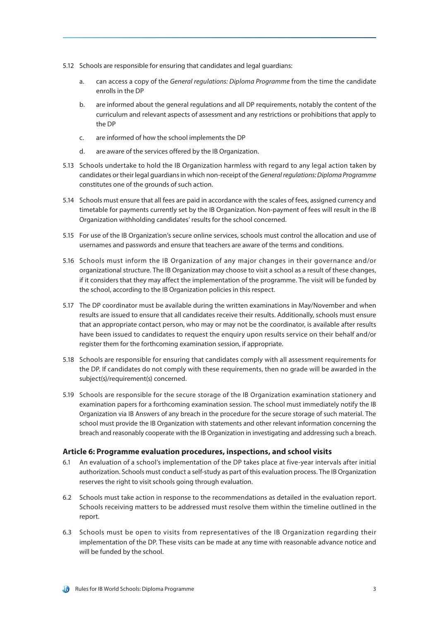- 5.12 Schools are responsible for ensuring that candidates and legal guardians:
	- a. can access a copy of the *General regulations: Diploma Programme* from the time the candidate enrolls in the DP
	- b. are informed about the general regulations and all DP requirements, notably the content of the curriculum and relevant aspects of assessment and any restrictions or prohibitions that apply to the DP
	- c. are informed of how the school implements the DP
	- d. are aware of the services offered by the IB Organization.
- 5.13 Schools undertake to hold the IB Organization harmless with regard to any legal action taken by candidates or their legal guardians in which non-receipt of the *General regulations: Diploma Programme*  constitutes one of the grounds of such action.
- 5.14 Schools must ensure that all fees are paid in accordance with the scales of fees, assigned currency and timetable for payments currently set by the IB Organization. Non-payment of fees will result in the IB Organization withholding candidates' results for the school concerned.
- 5.15 For use of the IB Organization's secure online services, schools must control the allocation and use of usernames and passwords and ensure that teachers are aware of the terms and conditions.
- 5.16 Schools must inform the IB Organization of any major changes in their governance and/or organizational structure. The IB Organization may choose to visit a school as a result of these changes, if it considers that they may affect the implementation of the programme. The visit will be funded by the school, according to the IB Organization policies in this respect.
- 5.17 The DP coordinator must be available during the written examinations in May/November and when results are issued to ensure that all candidates receive their results. Additionally, schools must ensure that an appropriate contact person, who may or may not be the coordinator, is available after results have been issued to candidates to request the enquiry upon results service on their behalf and/or register them for the forthcoming examination session, if appropriate.
- 5.18 Schools are responsible for ensuring that candidates comply with all assessment requirements for the DP. If candidates do not comply with these requirements, then no grade will be awarded in the subject(s)/requirement(s) concerned.
- 5.19 Schools are responsible for the secure storage of the IB Organization examination stationery and examination papers for a forthcoming examination session. The school must immediately notify the IB Organization via IB Answers of any breach in the procedure for the secure storage of such material. The school must provide the IB Organization with statements and other relevant information concerning the breach and reasonably cooperate with the IB Organization in investigating and addressing such a breach.

#### **Article 6: Programme evaluation procedures, inspections, and school visits**

- 6.1 An evaluation of a school's implementation of the DP takes place at five-year intervals after initial authorization. Schools must conduct a self-study as part of this evaluation process. The IB Organization reserves the right to visit schools going through evaluation.
- 6.2 Schools must take action in response to the recommendations as detailed in the evaluation report. Schools receiving matters to be addressed must resolve them within the timeline outlined in the report.
- 6.3 Schools must be open to visits from representatives of the IB Organization regarding their implementation of the DP. These visits can be made at any time with reasonable advance notice and will be funded by the school.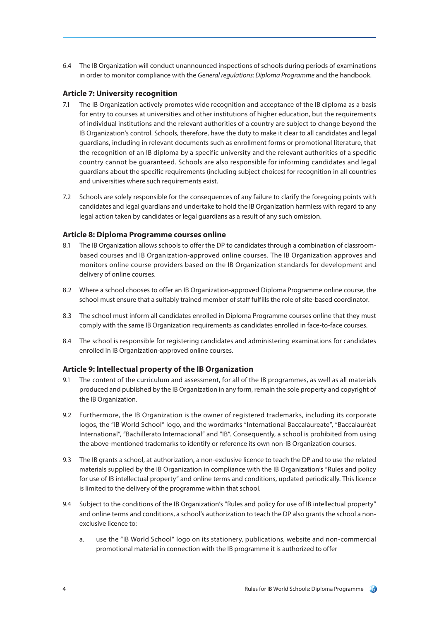6.4 The IB Organization will conduct unannounced inspections of schools during periods of examinations in order to monitor compliance with the *General regulations: Diploma Programme* and the handbook*.*

# **Article 7: University recognition**

- 7.1 The IB Organization actively promotes wide recognition and acceptance of the IB diploma as a basis for entry to courses at universities and other institutions of higher education, but the requirements of individual institutions and the relevant authorities of a country are subject to change beyond the IB Organization's control. Schools, therefore, have the duty to make it clear to all candidates and legal guardians, including in relevant documents such as enrollment forms or promotional literature, that the recognition of an IB diploma by a specific university and the relevant authorities of a specific country cannot be guaranteed. Schools are also responsible for informing candidates and legal guardians about the specific requirements (including subject choices) for recognition in all countries and universities where such requirements exist.
- 7.2 Schools are solely responsible for the consequences of any failure to clarify the foregoing points with candidates and legal guardians and undertake to hold the IB Organization harmless with regard to any legal action taken by candidates or legal guardians as a result of any such omission.

### **Article 8: Diploma Programme courses online**

- 8.1 The IB Organization allows schools to offer the DP to candidates through a combination of classroombased courses and IB Organization-approved online courses. The IB Organization approves and monitors online course providers based on the IB Organization standards for development and delivery of online courses.
- 8.2 Where a school chooses to offer an IB Organization-approved Diploma Programme online course, the school must ensure that a suitably trained member of staff fulfills the role of site-based coordinator.
- 8.3 The school must inform all candidates enrolled in Diploma Programme courses online that they must comply with the same IB Organization requirements as candidates enrolled in face-to-face courses.
- 8.4 The school is responsible for registering candidates and administering examinations for candidates enrolled in IB Organization-approved online courses.

# **Article 9: Intellectual property of the IB Organization**

- 9.1 The content of the curriculum and assessment, for all of the IB programmes, as well as all materials produced and published by the IB Organization in any form, remain the sole property and copyright of the IB Organization.
- 9.2 Furthermore, the IB Organization is the owner of registered trademarks, including its corporate logos, the "IB World School" logo, and the wordmarks "International Baccalaureate", "Baccalauréat International", "Bachillerato Internacional" and "IB". Consequently, a school is prohibited from using the above-mentioned trademarks to identify or reference its own non-IB Organization courses.
- 9.3 The IB grants a school, at authorization, a non-exclusive licence to teach the DP and to use the related materials supplied by the IB Organization in compliance with the IB Organization's "Rules and policy for use of IB intellectual property" and online terms and conditions, updated periodically. This licence is limited to the delivery of the programme within that school.
- 9.4 Subject to the conditions of the IB Organization's "Rules and policy for use of IB intellectual property" and online terms and conditions, a school's authorization to teach the DP also grants the school a nonexclusive licence to:
	- a. use the "IB World School" logo on its stationery, publications, website and non-commercial promotional material in connection with the IB programme it is authorized to offer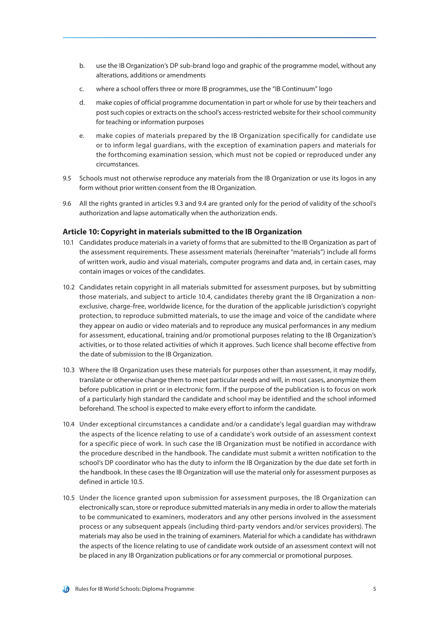- b. use the IB Organization's DP sub-brand logo and graphic of the programme model, without any alterations, additions or amendments
- c. where a school offers three or more IB programmes, use the "IB Continuum" logo
- d. make copies of official programme documentation in part or whole for use by their teachers and post such copies or extracts on the school's access-restricted website for their school community for teaching or information purposes
- e. make copies of materials prepared by the IB Organization specifically for candidate use or to inform legal guardians, with the exception of examination papers and materials for the forthcoming examination session, which must not be copied or reproduced under any circumstances.
- 9.5 Schools must not otherwise reproduce any materials from the IB Organization or use its logos in any form without prior written consent from the IB Organization.
- 9.6 All the rights granted in articles 9.3 and 9.4 are granted only for the period of validity of the school's authorization and lapse automatically when the authorization ends.

#### **Article 10: Copyright in materials submitted to the IB Organization**

- 10.1 Candidates produce materials in a variety of forms that are submitted to the IB Organization as part of the assessment requirements. These assessment materials (hereinafter "materials") include all forms of written work, audio and visual materials, computer programs and data and, in certain cases, may contain images or voices of the candidates.
- 10.2 Candidates retain copyright in all materials submitted for assessment purposes, but by submitting those materials, and subject to article 10.4, candidates thereby grant the IB Organization a nonexclusive, charge-free, worldwide licence, for the duration of the applicable jurisdiction's copyright protection, to reproduce submitted materials, to use the image and voice of the candidate where they appear on audio or video materials and to reproduce any musical performances in any medium for assessment, educational, training and/or promotional purposes relating to the IB Organization's activities, or to those related activities of which it approves. Such licence shall become effective from the date of submission to the IB Organization.
- 10.3 Where the IB Organization uses these materials for purposes other than assessment, it may modify, translate or otherwise change them to meet particular needs and will, in most cases, anonymize them before publication in print or in electronic form. If the purpose of the publication is to focus on work of a particularly high standard the candidate and school may be identified and the school informed beforehand. The school is expected to make every effort to inform the candidate.
- 10.4 Under exceptional circumstances a candidate and/or a candidate's legal guardian may withdraw the aspects of the licence relating to use of a candidate's work outside of an assessment context for a specific piece of work. In such case the IB Organization must be notified in accordance with the procedure described in the handbook. The candidate must submit a written notification to the school's DP coordinator who has the duty to inform the IB Organization by the due date set forth in the handbook. In these cases the IB Organization will use the material only for assessment purposes as defined in article 10.5.
- 10.5 Under the licence granted upon submission for assessment purposes, the IB Organization can electronically scan, store or reproduce submitted materials in any media in order to allow the materials to be communicated to examiners, moderators and any other persons involved in the assessment process or any subsequent appeals (including third-party vendors and/or services providers). The materials may also be used in the training of examiners. Material for which a candidate has withdrawn the aspects of the licence relating to use of candidate work outside of an assessment context will not be placed in any IB Organization publications or for any commercial or promotional purposes.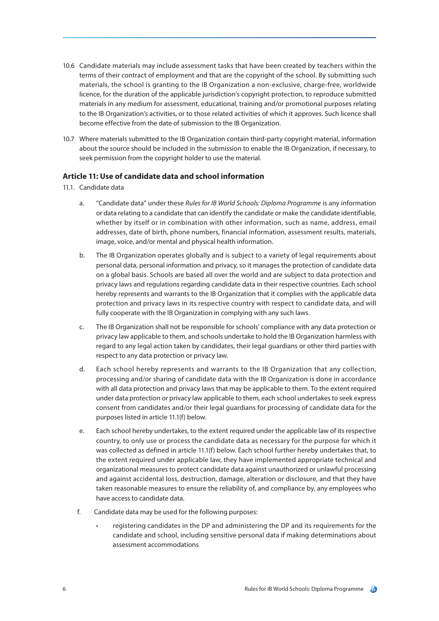- 10.6 Candidate materials may include assessment tasks that have been created by teachers within the terms of their contract of employment and that are the copyright of the school. By submitting such materials, the school is granting to the IB Organization a non-exclusive, charge-free, worldwide licence, for the duration of the applicable jurisdiction's copyright protection, to reproduce submitted materials in any medium for assessment, educational, training and/or promotional purposes relating to the IB Organization's activities, or to those related activities of which it approves. Such licence shall become effective from the date of submission to the IB Organization.
- 10.7 Where materials submitted to the IB Organization contain third-party copyright material, information about the source should be included in the submission to enable the IB Organization, if necessary, to seek permission from the copyright holder to use the material.

# **Article 11: Use of candidate data and school information**

- 11.1. Candidate data
	- a. "Candidate data" under these *Rules for IB World Schools: Diploma Programme* is any information or data relating to a candidate that can identify the candidate or make the candidate identifiable, whether by itself or in combination with other information, such as name, address, email addresses, date of birth, phone numbers, financial information, assessment results, materials, image, voice, and/or mental and physical health information.
	- b. The IB Organization operates globally and is subject to a variety of legal requirements about personal data, personal information and privacy, so it manages the protection of candidate data on a global basis. Schools are based all over the world and are subject to data protection and privacy laws and regulations regarding candidate data in their respective countries. Each school hereby represents and warrants to the IB Organization that it complies with the applicable data protection and privacy laws in its respective country with respect to candidate data, and will fully cooperate with the IB Organization in complying with any such laws.
	- c. The IB Organization shall not be responsible for schools' compliance with any data protection or privacy law applicable to them, and schools undertake to hold the IB Organization harmless with regard to any legal action taken by candidates, their legal guardians or other third parties with respect to any data protection or privacy law.
	- d. Each school hereby represents and warrants to the IB Organization that any collection, processing and/or sharing of candidate data with the IB Organization is done in accordance with all data protection and privacy laws that may be applicable to them. To the extent required under data protection or privacy law applicable to them, each school undertakes to seek express consent from candidates and/or their legal guardians for processing of candidate data for the purposes listed in article 11.1(f) below.
	- e. Each school hereby undertakes, to the extent required under the applicable law of its respective country, to only use or process the candidate data as necessary for the purpose for which it was collected as defined in article 11.1(f) below. Each school further hereby undertakes that, to the extent required under applicable law, they have implemented appropriate technical and organizational measures to protect candidate data against unauthorized or unlawful processing and against accidental loss, destruction, damage, alteration or disclosure, and that they have taken reasonable measures to ensure the reliability of, and compliance by, any employees who have access to candidate data.
	- f. Candidate data may be used for the following purposes:
		- registering candidates in the DP and administering the DP and its requirements for the candidate and school, including sensitive personal data if making determinations about assessment accommodations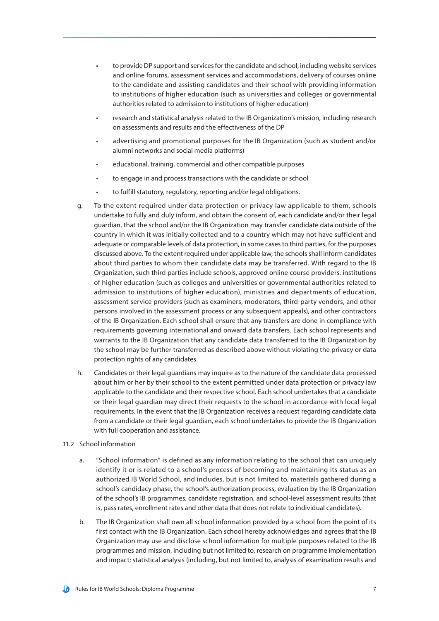- to provide DP support and services for the candidate and school, including website services and online forums, assessment services and accommodations, delivery of courses online to the candidate and assisting candidates and their school with providing information to institutions of higher education (such as universities and colleges or governmental authorities related to admission to institutions of higher education)
- research and statistical analysis related to the IB Organization's mission, including research on assessments and results and the effectiveness of the DP
- advertising and promotional purposes for the IB Organization (such as student and/or alumni networks and social media platforms)
- educational, training, commercial and other compatible purposes
- to engage in and process transactions with the candidate or school
- to fulfill statutory, regulatory, reporting and/or legal obligations.
- g. To the extent required under data protection or privacy law applicable to them, schools undertake to fully and duly inform, and obtain the consent of, each candidate and/or their legal guardian, that the school and/or the IB Organization may transfer candidate data outside of the country in which it was initially collected and to a country which may not have sufficient and adequate or comparable levels of data protection, in some cases to third parties, for the purposes discussed above. To the extent required under applicable law, the schools shall inform candidates about third parties to whom their candidate data may be transferred. With regard to the IB Organization, such third parties include schools, approved online course providers, institutions of higher education (such as colleges and universities or governmental authorities related to admission to institutions of higher education), ministries and departments of education, assessment service providers (such as examiners, moderators, third-party vendors, and other persons involved in the assessment process or any subsequent appeals), and other contractors of the IB Organization. Each school shall ensure that any transfers are done in compliance with requirements governing international and onward data transfers. Each school represents and warrants to the IB Organization that any candidate data transferred to the IB Organization by the school may be further transferred as described above without violating the privacy or data protection rights of any candidates.
- h. Candidates or their legal guardians may inquire as to the nature of the candidate data processed about him or her by their school to the extent permitted under data protection or privacy law applicable to the candidate and their respective school. Each school undertakes that a candidate or their legal guardian may direct their requests to [the](mailto:the) school in accordance with local legal requirements. In the event that the IB Organization receives a request regarding candidate data from a candidate or their legal guardian, each school undertakes to provide the IB Organization with full cooperation and assistance.

#### 11.2 School information

- a. "School information" is defined as any information relating to the school that can uniquely identify it or is related to a school's process of becoming and maintaining its status as an authorized IB World School, and includes, but is not limited to, materials gathered during a school's candidacy phase, the school's authorization process, evaluation by the IB Organization of the school's IB programmes, candidate registration, and school-level assessment results (that is, pass rates, enrollment rates and other data that does not relate to individual candidates).
- b. The IB Organization shall own all school information provided by a school from the point of its first contact with the IB Organization. Each school hereby acknowledges and agrees that the IB Organization may use and disclose school information for multiple purposes related to the IB programmes and mission, including but not limited to, research on programme implementation and impact; statistical analysis (including, but not limited to, analysis of examination results and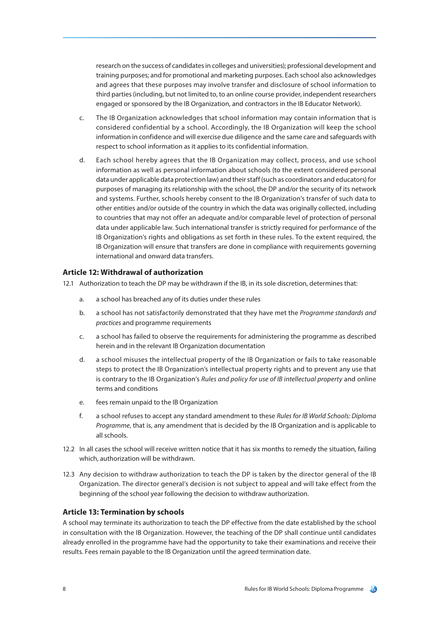research on the success of candidates in colleges and universities); professional development and training purposes; and for promotional and marketing purposes. Each school also acknowledges and agrees that these purposes may involve transfer and disclosure of school information to third parties (including, but not limited to, to an online course provider, independent researchers engaged or sponsored by the IB Organization, and contractors in the IB Educator Network).

- c. The IB Organization acknowledges that school information may contain information that is considered confidential by a school. Accordingly, the IB Organization will keep the school information in confidence and will exercise due diligence and the same care and safeguards with respect to school information as it applies to its confidential information.
- d. Each school hereby agrees that the IB Organization may collect, process, and use school information as well as personal information about schools (to the extent considered personal data under applicable data protection law) and their staff (such as coordinators and educators) for purposes of managing its relationship with the school, the DP and/or the security of its network and systems. Further, schools hereby consent to the IB Organization's transfer of such data to other entities and/or outside of the country in which the data was originally collected, including to countries that may not offer an adequate and/or comparable level of protection of personal data under applicable law. Such international transfer is strictly required for performance of the IB Organization's rights and obligations as set forth in these rules. To the extent required, the IB Organization will ensure that transfers are done in compliance with requirements governing international and onward data transfers.

# **Article 12: Withdrawal of authorization**

12.1 Authorization to teach the DP may be withdrawn if the IB, in its sole discretion, determines that:

- a. a school has breached any of its duties under these rules
- b. a school has not satisfactorily demonstrated that they have met the *Programme standards and practices* and programme requirements
- c. a school has failed to observe the requirements for administering the programme as described herein and in the relevant IB Organization documentation
- d. a school misuses the intellectual property of the IB Organization or fails to take reasonable steps to protect the IB Organization's intellectual property rights and to prevent any use that is contrary to the IB Organization's *Rules and policy for use of IB intellectual property* and online terms and conditions
- e. fees remain unpaid to the IB Organization
- f. a school refuses to accept any standard amendment to these *Rules for IB World Schools: Diploma Programme*, that is, any amendment that is decided by the IB Organization and is applicable to all schools.
- 12.2 In all cases the school will receive written notice that it has six months to remedy the situation, failing which, authorization will be withdrawn.
- 12.3 Any decision to withdraw authorization to teach the DP is taken by the director general of the IB Organization. The director general's decision is not subject to appeal and will take effect from the beginning of the school year following the decision to withdraw authorization.

# **Article 13: Termination by schools**

A school may terminate its authorization to teach the DP effective from the date established by the school in consultation with the IB Organization. However, the teaching of the DP shall continue until candidates already enrolled in the programme have had the opportunity to take their examinations and receive their results. Fees remain payable to the IB Organization until the agreed termination date.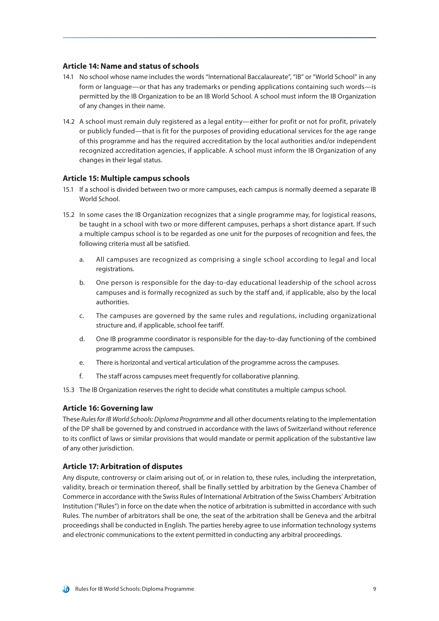#### **Article 14: Name and status of schools**

- 14.1 No school whose name includes the words "International Baccalaureate", "IB" or "World School" in any form or language—or that has any trademarks or pending applications containing such words—is permitted by the IB Organization to be an IB World School. A school must inform the IB Organization of any changes in their name.
- 14.2 A school must remain duly registered as a legal entity—either for profit or not for profit, privately or publicly funded—that is fit for the purposes of providing educational services for the age range of this programme and has the required accreditation by the local authorities and/or independent recognized accreditation agencies, if applicable. A school must inform the IB Organization of any changes in their legal status.

### **Article 15: Multiple campus schools**

- 15.1 If a school is divided between two or more campuses, each campus is normally deemed a separate IB World School.
- 15.2 In some cases the IB Organization recognizes that a single programme may, for logistical reasons, be taught in a school with two or more different campuses, perhaps a short distance apart. If such a multiple campus school is to be regarded as one unit for the purposes of recognition and fees, the following criteria must all be satisfied.
	- a. All campuses are recognized as comprising a single school according to legal and local registrations.
	- b. One person is responsible for the day-to-day educational leadership of the school across campuses and is formally recognized as such by the staff and, if applicable, also by the local authorities.
	- c. The campuses are governed by the same rules and regulations, including organizational structure and, if applicable, school fee tariff.
	- d. One IB programme coordinator is responsible for the day-to-day functioning of the combined programme across the campuses.
	- e. There is horizontal and vertical articulation of the programme across the campuses.
	- f. The staff across campuses meet frequently for collaborative planning.
- 15.3 The IB Organization reserves the right to decide what constitutes a multiple campus school.

#### **Article 16: Governing law**

These *Rules for IB World Schools: Diploma Programme* and all other documents relating to the implementation of the DP shall be governed by and construed in accordance with the laws of Switzerland without reference to its conflict of laws or similar provisions that would mandate or permit application of the substantive law of any other jurisdiction.

#### **Article 17: Arbitration of disputes**

Any dispute, controversy or claim arising out of, or in relation to, these rules, including the interpretation, validity, breach or termination thereof, shall be finally settled by arbitration by the Geneva Chamber of Commerce in accordance with the Swiss Rules of International Arbitration of the Swiss Chambers' Arbitration Institution ("Rules") in force on the date when the notice of arbitration is submitted in accordance with such Rules. The number of arbitrators shall be one, the seat of the arbitration shall be Geneva and the arbitral proceedings shall be conducted in English. The parties hereby agree to use information technology systems and electronic communications to the extent permitted in conducting any arbitral proceedings.